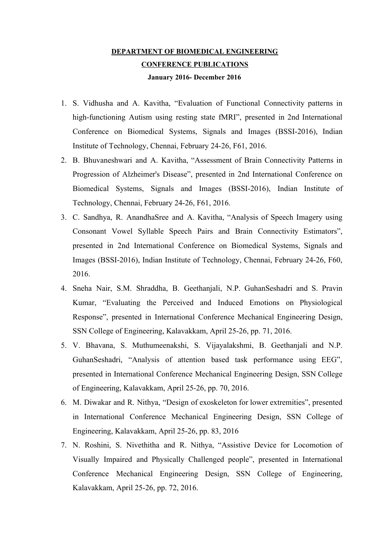## **DEPARTMENT OF BIOMEDICAL ENGINEERING CONFERENCE PUBLICATIONS January 2016- December 2016**

- 1. S. Vidhusha and A. Kavitha, "Evaluation of Functional Connectivity patterns in high-functioning Autism using resting state fMRI", presented in 2nd International Conference on Biomedical Systems, Signals and Images (BSSI-2016), Indian Institute of Technology, Chennai, February 24-26, F61, 2016.
- 2. B. Bhuvaneshwari and A. Kavitha, "Assessment of Brain Connectivity Patterns in Progression of Alzheimer's Disease", presented in 2nd International Conference on Biomedical Systems, Signals and Images (BSSI-2016), Indian Institute of Technology, Chennai, February 24-26, F61, 2016.
- 3. C. Sandhya, R. AnandhaSree and A. Kavitha, "Analysis of Speech Imagery using Consonant Vowel Syllable Speech Pairs and Brain Connectivity Estimators", presented in 2nd International Conference on Biomedical Systems, Signals and Images (BSSI-2016), Indian Institute of Technology, Chennai, February 24-26, F60, 2016.
- 4. Sneha Nair, S.M. Shraddha, B. Geethanjali, N.P. GuhanSeshadri and S. Pravin Kumar, "Evaluating the Perceived and Induced Emotions on Physiological Response", presented in International Conference Mechanical Engineering Design, SSN College of Engineering, Kalavakkam, April 25-26, pp. 71, 2016.
- 5. V. Bhavana, S. Muthumeenakshi, S. Vijayalakshmi, B. Geethanjali and N.P. GuhanSeshadri, "Analysis of attention based task performance using EEG", presented in International Conference Mechanical Engineering Design, SSN College of Engineering, Kalavakkam, April 25-26, pp. 70, 2016.
- 6. M. Diwakar and R. Nithya, "Design of exoskeleton for lower extremities", presented in International Conference Mechanical Engineering Design, SSN College of Engineering, Kalavakkam, April 25-26, pp. 83, 2016
- 7. N. Roshini, S. Nivethitha and R. Nithya, "Assistive Device for Locomotion of Visually Impaired and Physically Challenged people", presented in International Conference Mechanical Engineering Design, SSN College of Engineering, Kalavakkam, April 25-26, pp. 72, 2016.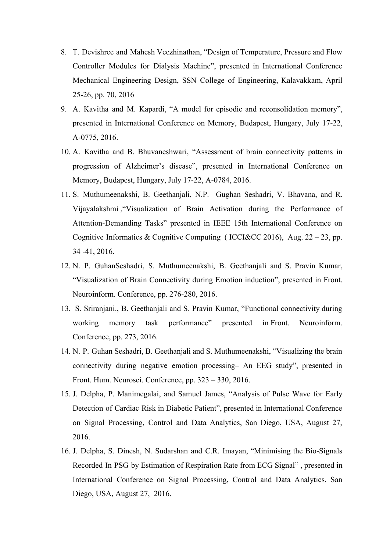- 8. T. Devishree and Mahesh Veezhinathan, "Design of Temperature, Pressure and Flow Controller Modules for Dialysis Machine", presented in International Conference Mechanical Engineering Design, SSN College of Engineering, Kalavakkam, April 25-26, pp. 70, 2016
- 9. A. Kavitha and M. Kapardi, "A model for episodic and reconsolidation memory", presented in International Conference on Memory, Budapest, Hungary, July 17-22, A-0775, 2016.
- 10. A. Kavitha and B. Bhuvaneshwari, "Assessment of brain connectivity patterns in progression of Alzheimer's disease", presented in International Conference on Memory, Budapest, Hungary, July 17-22, A-0784, 2016.
- 11. S. Muthumeenakshi, B. Geethanjali, N.P. Gughan Seshadri, V. Bhavana, and R. Vijayalakshmi ,"Visualization of Brain Activation during the Performance of Attention-Demanding Tasks" presented in IEEE 15th International Conference on Cognitive Informatics & Cognitive Computing (ICCI&CC 2016), Aug.  $22 - 23$ , pp. 34 -41, 2016.
- 12. N. P. GuhanSeshadri, S. Muthumeenakshi, B. Geethanjali and S. Pravin Kumar, "Visualization of Brain Connectivity during Emotion induction", presented in Front. Neuroinform. Conference, pp. 276-280, 2016.
- 13. S. Sriranjani., B. Geethanjali and S. Pravin Kumar, "Functional connectivity during working memory task performance" presented in Front. Neuroinform. Conference, pp. 273, 2016.
- 14. N. P. Guhan Seshadri, B. Geethanjali and S. Muthumeenakshi, "Visualizing the brain connectivity during negative emotion processing– An EEG study", presented in Front. Hum. Neurosci. Conference, pp. 323 – 330, 2016.
- 15. J. Delpha, P. Manimegalai, and Samuel James, "Analysis of Pulse Wave for Early Detection of Cardiac Risk in Diabetic Patient", presented in International Conference on Signal Processing, Control and Data Analytics, San Diego, USA, August 27, 2016.
- 16. J. Delpha, S. Dinesh, N. Sudarshan and C.R. Imayan, "Minimising the Bio-Signals Recorded In PSG by Estimation of Respiration Rate from ECG Signal" , presented in International Conference on Signal Processing, Control and Data Analytics, San Diego, USA, August 27, 2016.